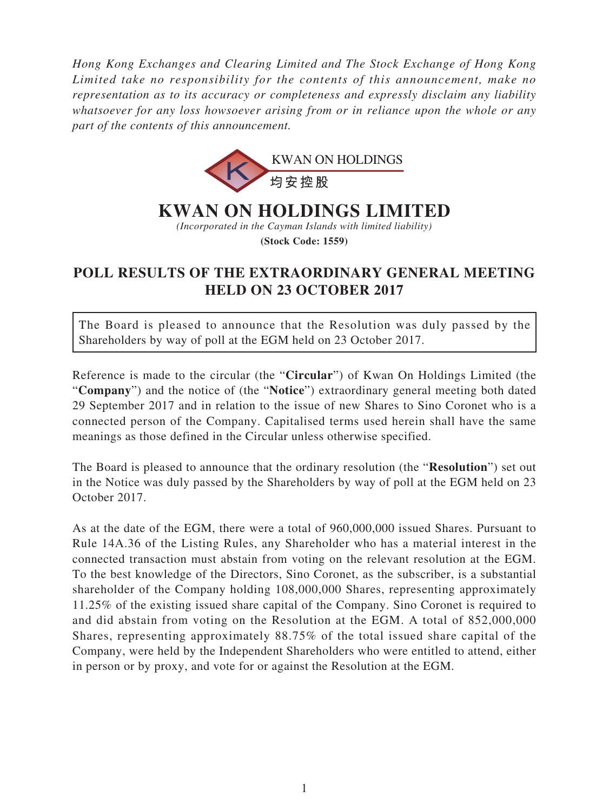*Hong Kong Exchanges and Clearing Limited and The Stock Exchange of Hong Kong Limited take no responsibility for the contents of this announcement, make no representation as to its accuracy or completeness and expressly disclaim any liability whatsoever for any loss howsoever arising from or in reliance upon the whole or any part of the contents of this announcement.*



## **KWAN ON HOLDINGS LIMITED**

*(Incorporated in the Cayman Islands with limited liability)*

**(Stock Code: 1559)**

## **POLL RESULTS OF THE EXTRAORDINARY GENERAL MEETING HELD ON 23 OCTOBER 2017**

The Board is pleased to announce that the Resolution was duly passed by the Shareholders by way of poll at the EGM held on 23 October 2017.

Reference is made to the circular (the "**Circular**") of Kwan On Holdings Limited (the "**Company**") and the notice of (the "**Notice**") extraordinary general meeting both dated 29 September 2017 and in relation to the issue of new Shares to Sino Coronet who is a connected person of the Company. Capitalised terms used herein shall have the same meanings as those defined in the Circular unless otherwise specified.

The Board is pleased to announce that the ordinary resolution (the "**Resolution**") set out in the Notice was duly passed by the Shareholders by way of poll at the EGM held on 23 October 2017.

As at the date of the EGM, there were a total of 960,000,000 issued Shares. Pursuant to Rule 14A.36 of the Listing Rules, any Shareholder who has a material interest in the connected transaction must abstain from voting on the relevant resolution at the EGM. To the best knowledge of the Directors, Sino Coronet, as the subscriber, is a substantial shareholder of the Company holding 108,000,000 Shares, representing approximately 11.25% of the existing issued share capital of the Company. Sino Coronet is required to and did abstain from voting on the Resolution at the EGM. A total of 852,000,000 Shares, representing approximately 88.75% of the total issued share capital of the Company, were held by the Independent Shareholders who were entitled to attend, either in person or by proxy, and vote for or against the Resolution at the EGM.